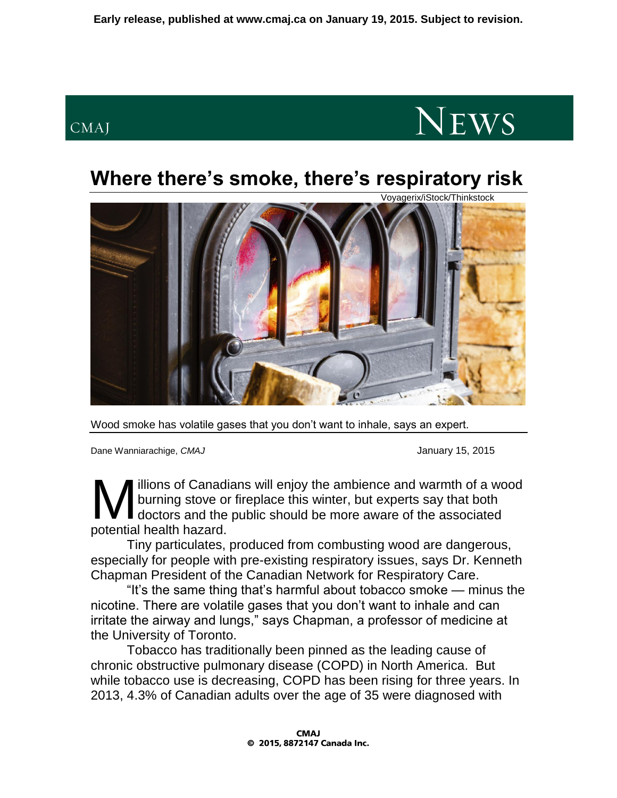## CMAJ



## **Where there's smoke, there's respiratory risk**



Wood smoke has volatile gases that you don't want to inhale, says an expert.

Dane Wanniarachige, *CMAJ* January 15, 2015

illions of Canadians will enjoy the ambience and warmth of a wood burning stove or fireplace this winter, but experts say that both doctors and the public should be more aware of the associated **M** illions of Canadi<br>burning stove or<br>potential health hazard.

Tiny particulates, produced from combusting wood are dangerous, especially for people with pre-existing respiratory issues, says Dr. Kenneth Chapman President of the Canadian Network for Respiratory Care.

"It's the same thing that's harmful about tobacco smoke — minus the nicotine. There are volatile gases that you don't want to inhale and can irritate the airway and lungs," says Chapman, a professor of medicine at the University of Toronto.

Tobacco has traditionally been pinned as the leading cause of chronic obstructive pulmonary disease (COPD) in North America. But while tobacco use is decreasing, COPD has been rising for three years. In 2013, 4.3% of Canadian adults over the age of 35 were diagnosed with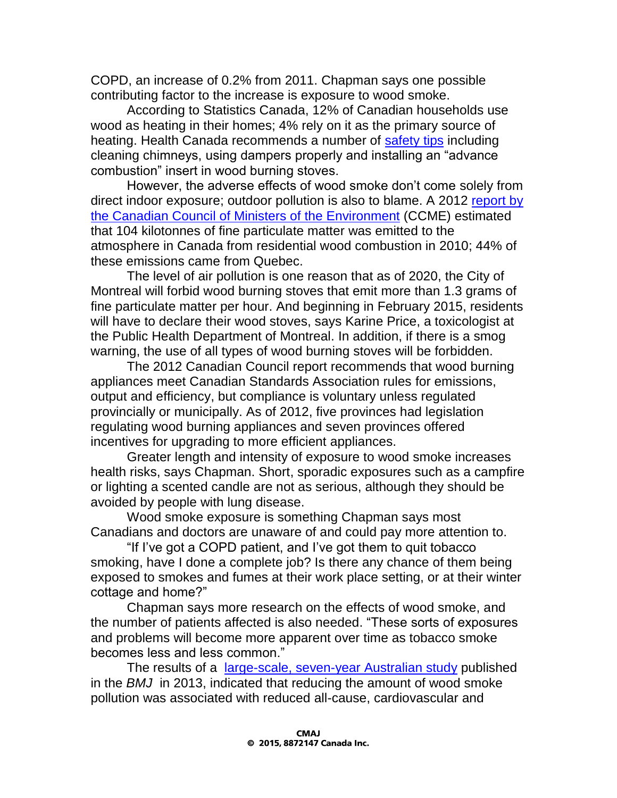COPD, an increase of 0.2% from 2011. Chapman says one possible contributing factor to the increase is exposure to wood smoke.

According to Statistics Canada, 12% of Canadian households use wood as heating in their homes; 4% rely on it as the primary source of heating. Health Canada recommends a number of [safety tips](http://healthycanadians.gc.ca/healthy-living-vie-saine/environment-environnement/home-maison/wood-smoke-fumee-bois-eng.php) including cleaning chimneys, using dampers properly and installing an "advance combustion" insert in wood burning stoves.

However, the adverse effects of wood smoke don't come solely from direct indoor exposure; outdoor pollution is also to blame. A 2012 [report by](http://www.ccme.ca/files/Resources/air/wood_burning/pn_1479_wood_burning_code_eng.pdf)  [the Canadian Council of Ministers of the Environment](http://www.ccme.ca/files/Resources/air/wood_burning/pn_1479_wood_burning_code_eng.pdf) (CCME) estimated that 104 kilotonnes of fine particulate matter was emitted to the atmosphere in Canada from residential wood combustion in 2010; 44% of these emissions came from Quebec.

The level of air pollution is one reason that as of 2020, the City of Montreal will forbid wood burning stoves that emit more than 1.3 grams of fine particulate matter per hour. And beginning in February 2015, residents will have to declare their wood stoves, says Karine Price, a toxicologist at the Public Health Department of Montreal. In addition, if there is a smog warning, the use of all types of wood burning stoves will be forbidden.

The 2012 Canadian Council report recommends that wood burning appliances meet Canadian Standards Association rules for emissions, output and efficiency, but compliance is voluntary unless regulated provincially or municipally. As of 2012, five provinces had legislation regulating wood burning appliances and seven provinces offered incentives for upgrading to more efficient appliances.

Greater length and intensity of exposure to wood smoke increases health risks, says Chapman. Short, sporadic exposures such as a campfire or lighting a scented candle are not as serious, although they should be avoided by people with lung disease.

Wood smoke exposure is something Chapman says most Canadians and doctors are unaware of and could pay more attention to.

"If I've got a COPD patient, and I've got them to quit tobacco smoking, have I done a complete job? Is there any chance of them being exposed to smokes and fumes at their work place setting, or at their winter cottage and home?"

Chapman says more research on the effects of wood smoke, and the number of patients affected is also needed. "These sorts of exposures and problems will become more apparent over time as tobacco smoke becomes less and less common."

The results of a [large-scale, seven-year Australian study](http://www.bmj.com/content/346/bmj.e8446) published in the *BMJ* in 2013, indicated that reducing the amount of wood smoke pollution was associated with reduced all-cause, cardiovascular and